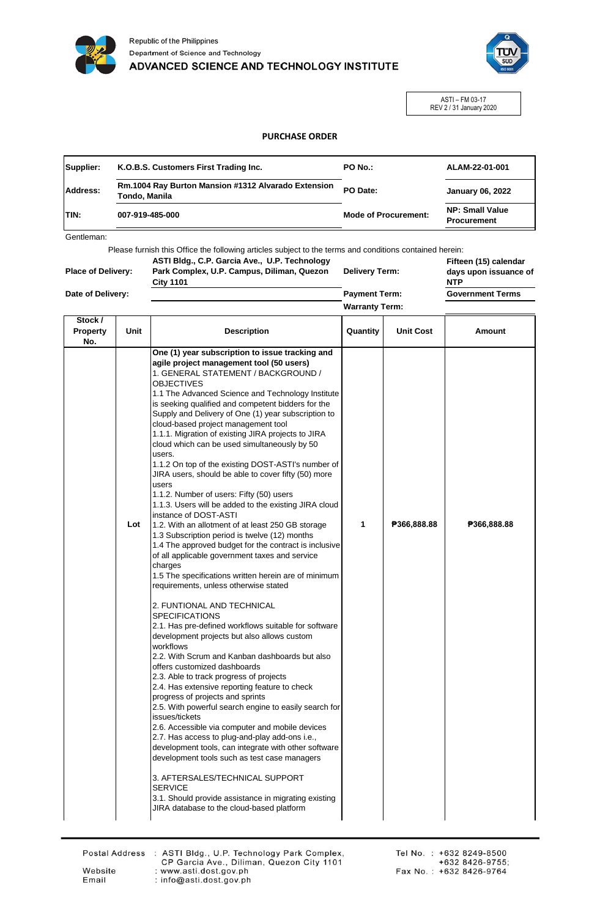



ASTI – FM 03-17 REV 2 / 31 January 2020

## **PURCHASE ORDER**

| Supplier:   | K.O.B.S. Customers First Trading Inc.                                | PO No.:                     | ALAM-22-01-001                               |
|-------------|----------------------------------------------------------------------|-----------------------------|----------------------------------------------|
| Address:    | Rm.1004 Ray Burton Mansion #1312 Alvarado Extension<br>Tondo, Manila | PO Date:                    | <b>January 06, 2022</b>                      |
| <b>TIN:</b> | 007-919-485-000                                                      | <b>Mode of Procurement:</b> | <b>NP: Small Value</b><br><b>Procurement</b> |

Gentleman:

Please furnish this Office the following articles subject to the terms and conditions contained herein:

| <b>Place of Delivery:</b> | ASTI Bldg., C.P. Garcia Ave., U.P. Technology<br>Park Complex, U.P. Campus, Diliman, Quezon<br><b>City 1101</b> | <b>Delivery Term:</b> | Fifteen (15) calendar<br>days upon issuance of<br><b>NTP</b> |
|---------------------------|-----------------------------------------------------------------------------------------------------------------|-----------------------|--------------------------------------------------------------|
| Date of Delivery:         |                                                                                                                 | <b>Payment Term:</b>  | <b>Government Terms</b>                                      |
|                           |                                                                                                                 | <b>Warranty Term:</b> |                                                              |

| Stock /<br><b>Property</b><br>No. | Unit | <b>Description</b>                                                                                                                                                                                                                                                                                                                                                                                                                                                                                                                                                                                                                                                                                                                                                                                                                                                                                                                                                                                                                                                                                                                                                                                                                                                                                                                                                                                                                                                                                                                                                                                                                                                                                                                                                                                                                                                                                               | Quantity | <b>Unit Cost</b> | Amount      |
|-----------------------------------|------|------------------------------------------------------------------------------------------------------------------------------------------------------------------------------------------------------------------------------------------------------------------------------------------------------------------------------------------------------------------------------------------------------------------------------------------------------------------------------------------------------------------------------------------------------------------------------------------------------------------------------------------------------------------------------------------------------------------------------------------------------------------------------------------------------------------------------------------------------------------------------------------------------------------------------------------------------------------------------------------------------------------------------------------------------------------------------------------------------------------------------------------------------------------------------------------------------------------------------------------------------------------------------------------------------------------------------------------------------------------------------------------------------------------------------------------------------------------------------------------------------------------------------------------------------------------------------------------------------------------------------------------------------------------------------------------------------------------------------------------------------------------------------------------------------------------------------------------------------------------------------------------------------------------|----------|------------------|-------------|
|                                   | Lot  | One (1) year subscription to issue tracking and<br>agile project management tool (50 users)<br>1. GENERAL STATEMENT / BACKGROUND /<br><b>OBJECTIVES</b><br>1.1 The Advanced Science and Technology Institute<br>is seeking qualified and competent bidders for the<br>Supply and Delivery of One (1) year subscription to<br>cloud-based project management tool<br>1.1.1. Migration of existing JIRA projects to JIRA<br>cloud which can be used simultaneously by 50<br>users.<br>1.1.2 On top of the existing DOST-ASTI's number of<br>JIRA users, should be able to cover fifty (50) more<br>users<br>1.1.2. Number of users: Fifty (50) users<br>1.1.3. Users will be added to the existing JIRA cloud<br>instance of DOST-ASTI<br>1.2. With an allotment of at least 250 GB storage<br>1.3 Subscription period is twelve (12) months<br>1.4 The approved budget for the contract is inclusive<br>of all applicable government taxes and service<br>charges<br>1.5 The specifications written herein are of minimum<br>requirements, unless otherwise stated<br>2. FUNTIONAL AND TECHNICAL<br><b>SPECIFICATIONS</b><br>2.1. Has pre-defined workflows suitable for software<br>development projects but also allows custom<br>workflows<br>2.2. With Scrum and Kanban dashboards but also<br>offers customized dashboards<br>2.3. Able to track progress of projects<br>2.4. Has extensive reporting feature to check<br>progress of projects and sprints<br>2.5. With powerful search engine to easily search for<br>issues/tickets<br>2.6. Accessible via computer and mobile devices<br>2.7. Has access to plug-and-play add-ons i.e.,<br>development tools, can integrate with other software<br>development tools such as test case managers<br>3. AFTERSALES/TECHNICAL SUPPORT<br><b>SERVICE</b><br>3.1. Should provide assistance in migrating existing<br>JIRA database to the cloud-based platform | 1        | P366,888.88      | ₱366,888.88 |

Email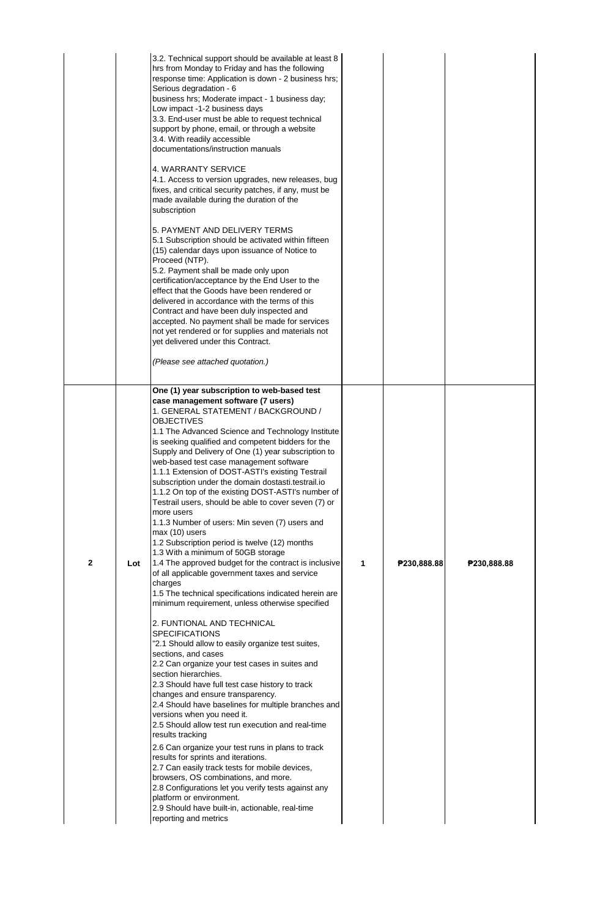|              |     | 3.2. Technical support should be available at least 8<br>hrs from Monday to Friday and has the following<br>response time: Application is down - 2 business hrs;<br>Serious degradation - 6<br>business hrs; Moderate impact - 1 business day;<br>Low impact -1-2 business days<br>3.3. End-user must be able to request technical<br>support by phone, email, or through a website<br>3.4. With readily accessible<br>documentations/instruction manuals<br>4. WARRANTY SERVICE<br>4.1. Access to version upgrades, new releases, bug<br>fixes, and critical security patches, if any, must be<br>made available during the duration of the<br>subscription<br>5. PAYMENT AND DELIVERY TERMS<br>5.1 Subscription should be activated within fifteen<br>(15) calendar days upon issuance of Notice to<br>Proceed (NTP).<br>5.2. Payment shall be made only upon<br>certification/acceptance by the End User to the<br>effect that the Goods have been rendered or<br>delivered in accordance with the terms of this<br>Contract and have been duly inspected and<br>accepted. No payment shall be made for services<br>not yet rendered or for supplies and materials not<br>yet delivered under this Contract.<br>(Please see attached quotation.)                                                                                                                                                                                                                                                                                                                                                                                                                                                                                                                                                                  |   |             |             |
|--------------|-----|----------------------------------------------------------------------------------------------------------------------------------------------------------------------------------------------------------------------------------------------------------------------------------------------------------------------------------------------------------------------------------------------------------------------------------------------------------------------------------------------------------------------------------------------------------------------------------------------------------------------------------------------------------------------------------------------------------------------------------------------------------------------------------------------------------------------------------------------------------------------------------------------------------------------------------------------------------------------------------------------------------------------------------------------------------------------------------------------------------------------------------------------------------------------------------------------------------------------------------------------------------------------------------------------------------------------------------------------------------------------------------------------------------------------------------------------------------------------------------------------------------------------------------------------------------------------------------------------------------------------------------------------------------------------------------------------------------------------------------------------------------------------------------------------------------------------|---|-------------|-------------|
| $\mathbf{2}$ | Lot | One (1) year subscription to web-based test<br>case management software (7 users)<br>1. GENERAL STATEMENT / BACKGROUND /<br><b>OBJECTIVES</b><br>1.1 The Advanced Science and Technology Institute<br>is seeking qualified and competent bidders for the<br>Supply and Delivery of One (1) year subscription to<br>web-based test case management software<br>1.1.1 Extension of DOST-ASTI's existing Testrail<br>subscription under the domain dostasti.testrail.io<br>1.1.2 On top of the existing DOST-ASTI's number of<br>Testrail users, should be able to cover seven (7) or<br>more users<br>1.1.3 Number of users: Min seven (7) users and<br>max (10) users<br>1.2 Subscription period is twelve (12) months<br>1.3 With a minimum of 50GB storage<br>1.4 The approved budget for the contract is inclusive<br>of all applicable government taxes and service<br>charges<br>1.5 The technical specifications indicated herein are<br>minimum requirement, unless otherwise specified<br>2. FUNTIONAL AND TECHNICAL<br><b>SPECIFICATIONS</b><br>"2.1 Should allow to easily organize test suites,<br>sections, and cases<br>2.2 Can organize your test cases in suites and<br>section hierarchies.<br>2.3 Should have full test case history to track<br>changes and ensure transparency.<br>2.4 Should have baselines for multiple branches and<br>versions when you need it.<br>2.5 Should allow test run execution and real-time<br>results tracking<br>2.6 Can organize your test runs in plans to track<br>results for sprints and iterations.<br>2.7 Can easily track tests for mobile devices,<br>browsers, OS combinations, and more.<br>2.8 Configurations let you verify tests against any<br>platform or environment.<br>2.9 Should have built-in, actionable, real-time<br>reporting and metrics | 1 | ₱230,888.88 | ₱230,888.88 |